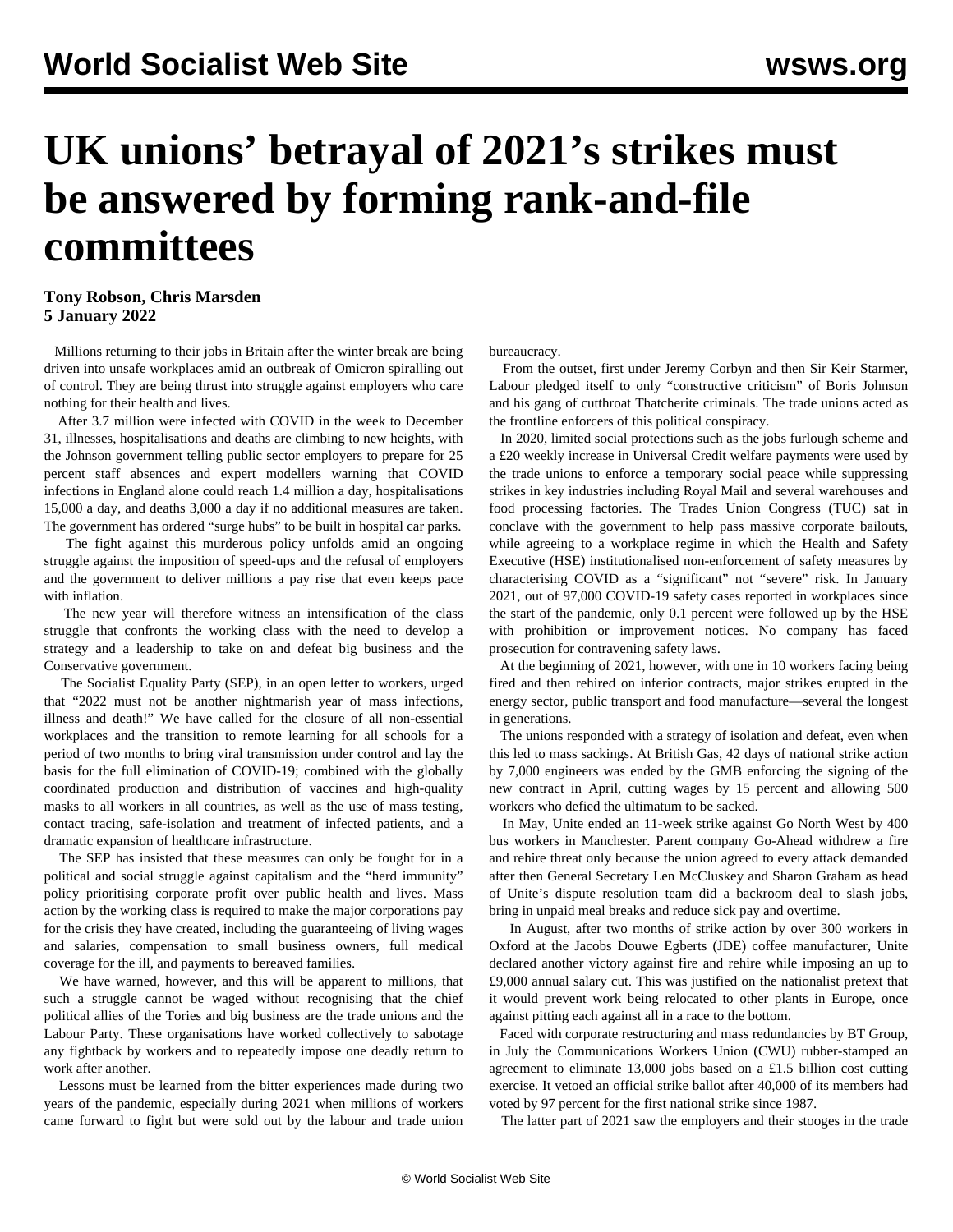## **UK unions' betrayal of 2021's strikes must be answered by forming rank-and-file committees**

## **Tony Robson, Chris Marsden 5 January 2022**

 Millions returning to their jobs in Britain after the winter break are being driven into unsafe workplaces amid an outbreak of Omicron spiralling out of control. They are being thrust into struggle against employers who care nothing for their health and lives.

 After 3.7 million were infected with COVID in the week to December 31, illnesses, hospitalisations and deaths are climbing to new heights, with the Johnson government telling public sector employers to prepare for 25 percent staff absences and expert modellers warning that COVID infections in England alone could reach 1.4 million a day, hospitalisations 15,000 a day, and deaths 3,000 a day if no additional measures are taken. The government has ordered "surge hubs" to be built in hospital car parks.

 The fight against this murderous policy unfolds amid an ongoing struggle against the imposition of speed-ups and the refusal of employers and the government to deliver millions a pay rise that even keeps pace with inflation.

 The new year will therefore witness an intensification of the class struggle that confronts the working class with the need to develop a strategy and a leadership to take on and defeat big business and the Conservative government.

 The Socialist Equality Party (SEP), in an [open letter](/en/articles/2021/12/31/open-d31.html) to workers, urged that "2022 must not be another nightmarish year of mass infections, illness and death!" We have called for the closure of all non-essential workplaces and the transition to remote learning for all schools for a period of two months to bring viral transmission under control and lay the basis for the full elimination of COVID-19; combined with the globally coordinated production and distribution of vaccines and high-quality masks to all workers in all countries, as well as the use of mass testing, contact tracing, safe-isolation and treatment of infected patients, and a dramatic expansion of healthcare infrastructure.

 The SEP has insisted that these measures can only be fought for in a political and social struggle against capitalism and the "herd immunity" policy prioritising corporate profit over public health and lives. Mass action by the working class is required to make the major corporations pay for the crisis they have created, including the guaranteeing of living wages and salaries, compensation to small business owners, full medical coverage for the ill, and payments to bereaved families.

 We have warned, however, and this will be apparent to millions, that such a struggle cannot be waged without recognising that the chief political allies of the Tories and big business are the trade unions and the Labour Party. These organisations have worked collectively to sabotage any fightback by workers and to repeatedly impose one deadly return to work after another.

 Lessons must be learned from the bitter experiences made during two years of the pandemic, especially during 2021 when millions of workers came forward to fight but were sold out by the labour and trade union

bureaucracy.

 From the outset, first under Jeremy Corbyn and then Sir Keir Starmer, Labour pledged itself to only "constructive criticism" of Boris Johnson and his gang of cutthroat Thatcherite criminals. The trade unions acted as the frontline enforcers of this political conspiracy.

 In 2020, limited social protections such as the jobs furlough scheme and a £20 weekly increase in Universal Credit welfare payments were used by the trade unions to enforce a temporary social peace while suppressing strikes in key industries including Royal Mail and several warehouses and food processing factories. The Trades Union Congress (TUC) sat in conclave with the government to help pass massive corporate bailouts, while agreeing to a workplace regime in which the Health and Safety Executive (HSE) institutionalised non-enforcement of safety measures by characterising COVID as a "significant" not "severe" risk. In January 2021, out of 97,000 COVID-19 safety cases reported in workplaces since the start of the pandemic, only 0.1 percent were followed up by the HSE with prohibition or improvement notices. No company has faced prosecution for contravening safety laws.

 At the beginning of 2021, however, with one in 10 workers facing being fired and then rehired on inferior contracts, major strikes erupted in the energy sector, public transport and food manufacture—several the longest in generations.

 The unions responded with a strategy of isolation and defeat, even when this led to mass sackings. At British Gas, 42 days of national strike action by 7,000 engineers was ended by the GMB [enforcing](/en/articles/2021/07/23/gmbs-j23.html) the signing of the new contract in April, cutting wages by 15 percent and allowing 500 workers who defied the ultimatum to be sacked.

 In May, Unite ended an 11-week strike against Go North West by 400 bus workers in Manchester. Parent company Go-Ahead withdrew a fire and rehire threat only because the union [agreed](/en/articles/2021/05/19/nort-m19.html) to every attack demanded after then General Secretary Len McCluskey and Sharon Graham as head of Unite's dispute resolution team did a backroom deal to slash jobs, bring in unpaid meal breaks and reduce sick pay and overtime.

 In August, after two months of strike action by over 300 workers in Oxford at the Jacobs Douwe Egberts (JDE) coffee manufacturer, Unite declared another victory against fire and rehire while [imposing](/en/articles/2021/08/04/banb-a04.html) an up to £9,000 annual salary cut. This was justified on the nationalist pretext that it would prevent work being relocated to other plants in Europe, once against pitting each against all in a race to the bottom.

 Faced with corporate restructuring and mass redundancies by BT Group, in July the Communications Workers Union (CWU) [rubber-stamped](/en/articles/2021/07/28/tele-j28.html) an agreement to eliminate 13,000 jobs based on a £1.5 billion cost cutting exercise. It vetoed an official strike ballot after 40,000 of its members had voted by 97 percent for the first national strike since 1987.

The latter part of 2021 saw the employers and their stooges in the trade